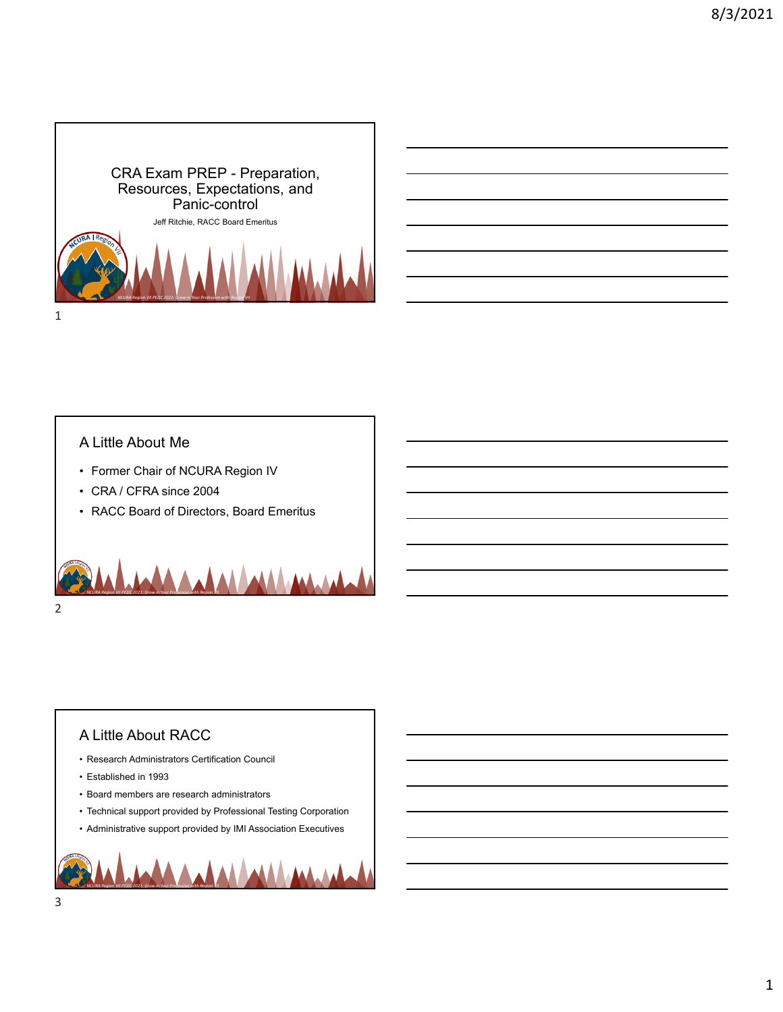



### A Little About Me

- Former Chair of NCURA Region IV
- CRA / CFRA since 2004
- RACC Board of Directors, Board Emeritus



## A Little About RACC

- Research Administrators Certification Council
- Established in 1993
- Board members are research administrators
- Technical support provided by Professional Testing Corporation
- Administrative support provided by IMI Association Executives

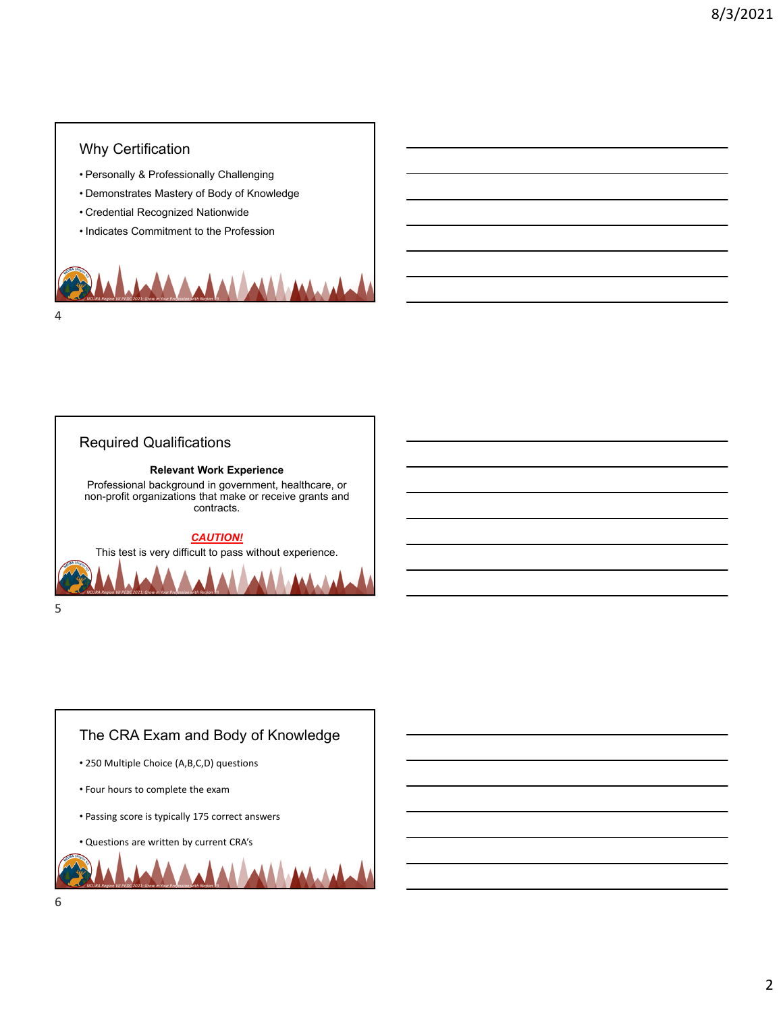# Why Certification

- Personally & Professionally Challenging
- Demonstrates Mastery of Body of Knowledge
- Credential Recognized Nationwide
- Indicates Commitment to the Profession





## The CRA Exam and Body of Knowledge

- 250 Multiple Choice (A,B,C,D) questions
- Four hours to complete the exam
- Passing score is typically 175 correct answers

• Questions are written by current CRA's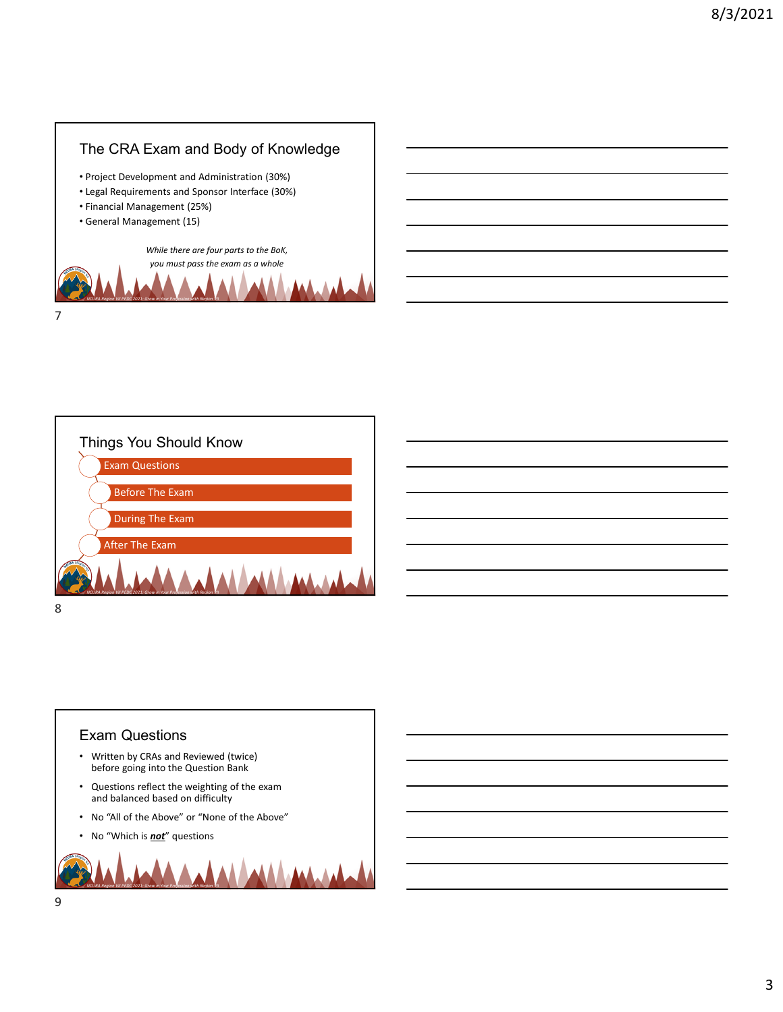



# Exam Questions

- Written by CRAs and Reviewed (twice) before going into the Question Bank
- Questions reflect the weighting of the exam and balanced based on difficulty
- No "All of the Above" or "None of the Above"
- No "Which is *not*" questions

*NCURA Region VII PEDC 2021: Grow in Your Profession with Region VII*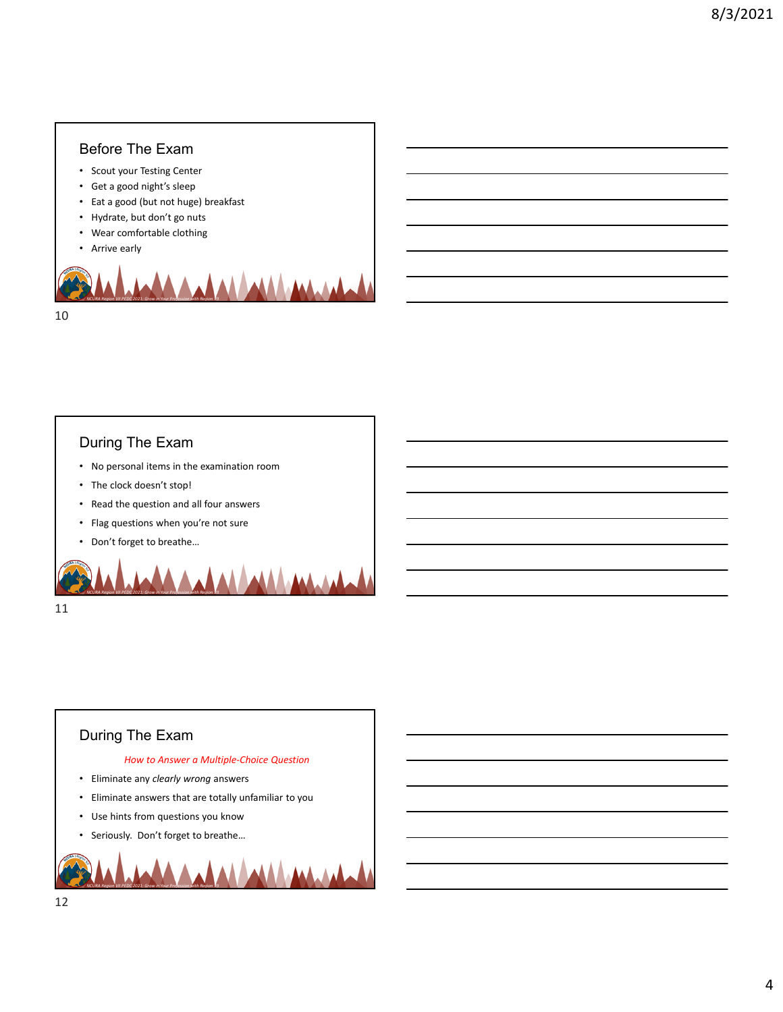### Before The Exam

- Scout your Testing Center
- Get a good night's sleep
- Eat a good (but not huge) breakfast
- Hydrate, but don't go nuts
- Wear comfortable clothing
- Arrive early



#### During The Exam

- No personal items in the examination room
- The clock doesn't stop!
- Read the question and all four answers
- Flag questions when you're not sure

*NCURA Region VII PEDC 2021: Grow in Your Profession with Region VII*

• Don't forget to breathe…

11

### During The Exam

#### *How to Answer a Multiple‐Choice Question*

- Eliminate any *clearly wrong* answers
- Eliminate answers that are totally unfamiliar to you
- Use hints from questions you know
- Seriously. Don't forget to breathe…

*NCURA Region VII PEDC 2021: Grow in Your Profession with Region VII*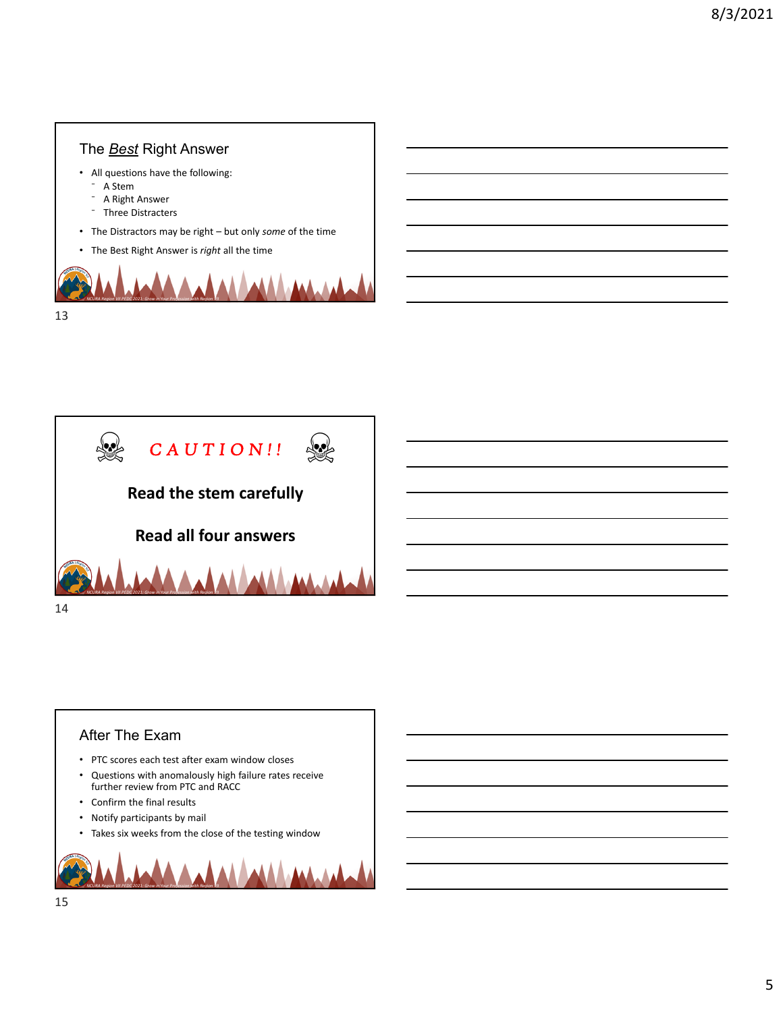# *NCURA Region VII PEDC 2021: Grow in Your Profession with Region VII* The *Best* Right Answer • All questions have the following: - A Stem - A Right Answer ⁻ Three Distracters • The Distractors may be right – but only *some* of the time • The Best Right Answer is *right* all the time



# After The Exam

13

- PTC scores each test after exam window closes
- Questions with anomalously high failure rates receive further review from PTC and RACC
- Confirm the final results
- Notify participants by mail
- Takes six weeks from the close of the testing window